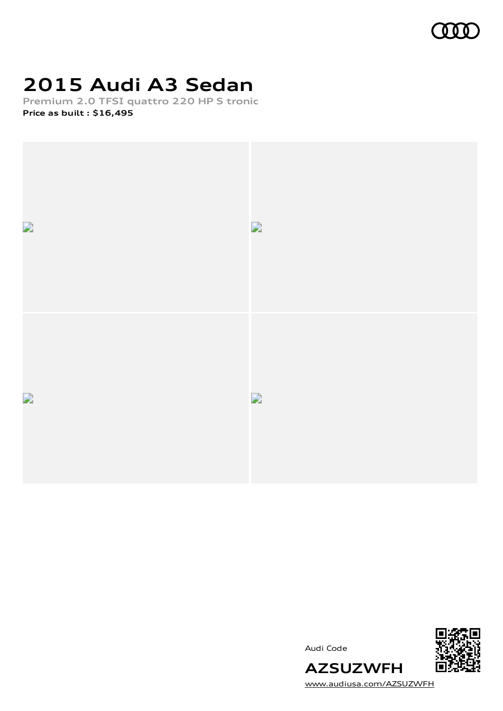

# **2015 Audi A3 Sedan**

**Premium 2.0 TFSI quattro 220 HP S tronic Price as built [:](#page-9-0) \$16,495**



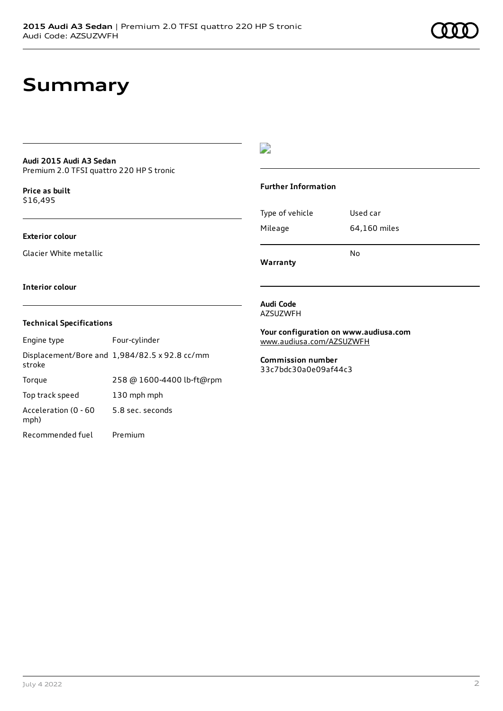## **Summary**

#### **Audi 2015 Audi A3 Sedan** Premium 2.0 TFSI quattro 220 HP S tronic

**Price as buil[t](#page-9-0)** \$16,495

### **Exterior colour**

Glacier White metallic

## $\overline{\phantom{a}}$

### **Further Information**

|                 | N٥           |
|-----------------|--------------|
| Mileage         | 64,160 miles |
| Type of vehicle | Used car     |

**Warranty**

#### **Interior colour**

### **Technical Specifications**

| Engine type                  | Four-cylinder                                 |
|------------------------------|-----------------------------------------------|
| stroke                       | Displacement/Bore and 1,984/82.5 x 92.8 cc/mm |
| Torque                       | 258 @ 1600-4400 lb-ft@rpm                     |
| Top track speed              | 130 mph mph                                   |
| Acceleration (0 - 60<br>mph) | 5.8 sec. seconds                              |
| Recommended fuel             | Premium                                       |

#### **Audi Code** AZSUZWFH

**Your configuration on www.audiusa.com** [www.audiusa.com/AZSUZWFH](https://www.audiusa.com/AZSUZWFH)

#### **Commission number** 33c7bdc30a0e09af44c3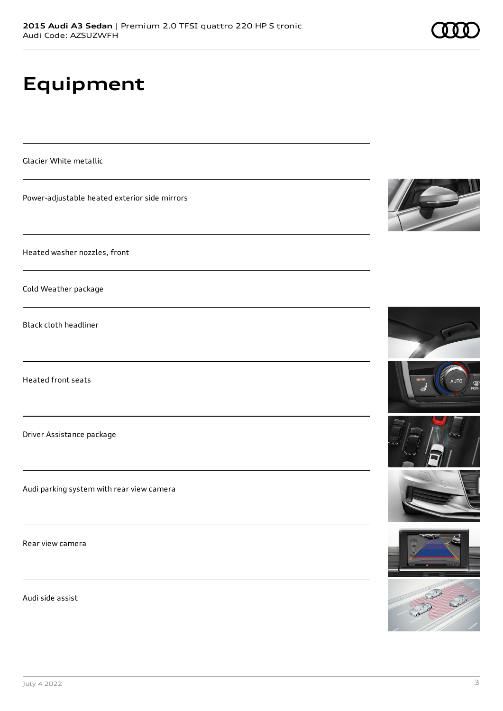# **Equipment**

Glacier White metallic

Power-adjustable heated exterior side mirrors

Heated washer nozzles, front

Cold Weather package

Black cloth headliner

Heated front seats

Driver Assistance package

Audi parking system with rear view camera

Rear view camera

Audi side assist













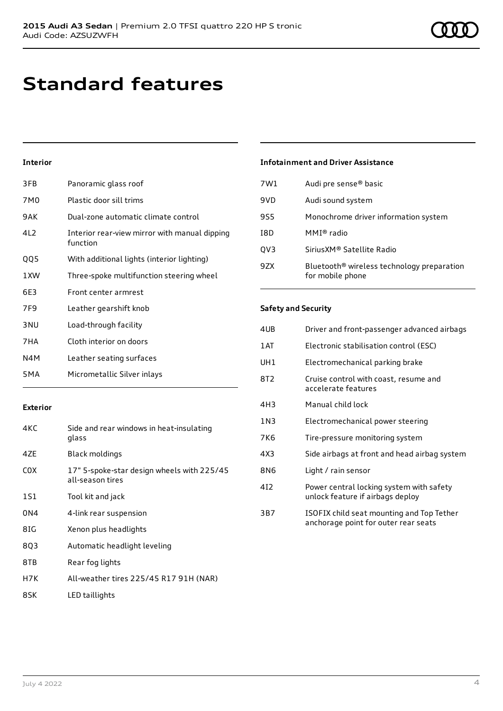# **Standard features**

## **Interior**

| 3FB             | Panoramic glass roof                                      |
|-----------------|-----------------------------------------------------------|
| 7M0             | Plastic door sill trims                                   |
| 9AK.            | Dual-zone automatic climate control                       |
| 4L <sub>2</sub> | Interior rear-view mirror with manual dipping<br>function |
| QQ5             | With additional lights (interior lighting)                |
| 1XW             | Three-spoke multifunction steering wheel                  |
| 6E3             | Front center armrest                                      |
| 7F9             | Leather gearshift knob                                    |
| 3 <sub>NU</sub> | Load-through facility                                     |
| 7HA             | Cloth interior on doors                                   |
| N4M             | Leather seating surfaces                                  |
| 5MA             | Micrometallic Silver inlays                               |

### **Exterior**

| 4KC  | Side and rear windows in heat-insulating<br>glass              |
|------|----------------------------------------------------------------|
| 47F  | Black moldings                                                 |
| COX. | 17" 5-spoke-star design wheels with 225/45<br>all-season tires |
| 1S1  | Tool kit and jack                                              |
| 0N4  | 4-link rear suspension                                         |
| 8IG  | Xenon plus headlights                                          |
| 803  | Automatic headlight leveling                                   |
| 8TB  | Rear fog lights                                                |
| H7K  | All-weather tires 225/45 R17 91H (NAR)                         |
|      |                                                                |

## 8SK LED taillights

### **Infotainment and Driver Assistance**

| 7W1 | Audi pre sense <sup>®</sup> basic                                          |
|-----|----------------------------------------------------------------------------|
| 9VD | Audi sound system                                                          |
| 9S5 | Monochrome driver information system                                       |
| I8D | MMI® radio                                                                 |
| OV3 | SiriusXM® Satellite Radio                                                  |
| 97X | Bluetooth <sup>®</sup> wireless technology preparation<br>for mobile phone |

### **Safety and Security**

| 4UB             | Driver and front-passenger advanced airbags                                       |
|-----------------|-----------------------------------------------------------------------------------|
| 1AT             | Electronic stabilisation control (ESC)                                            |
| UH <sub>1</sub> | Electromechanical parking brake                                                   |
| 8T <sub>2</sub> | Cruise control with coast, resume and<br>accelerate features                      |
| 4H3             | Manual child lock                                                                 |
| 1N3             | Electromechanical power steering                                                  |
| 7K6             | Tire-pressure monitoring system                                                   |
| 4X3             | Side airbags at front and head airbag system                                      |
| 8N6             | Light / rain sensor                                                               |
| 412             | Power central locking system with safety<br>unlock feature if airbags deploy      |
| 3B7             | ISOFIX child seat mounting and Top Tether<br>anchorage point for outer rear seats |
|                 |                                                                                   |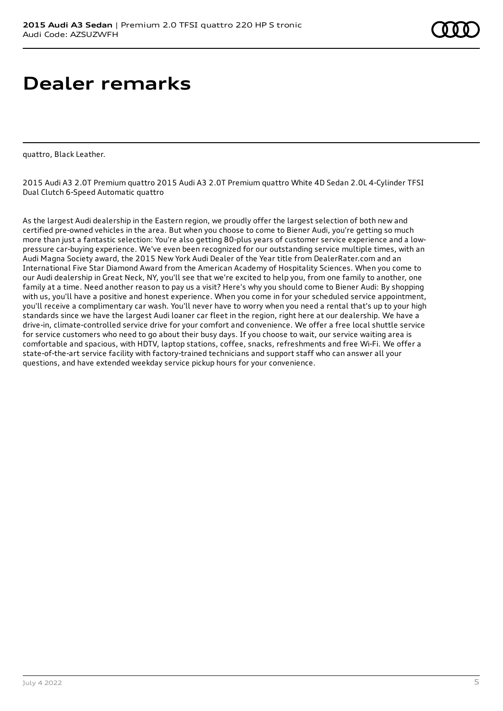## **Dealer remarks**

quattro, Black Leather.

2015 Audi A3 2.0T Premium quattro 2015 Audi A3 2.0T Premium quattro White 4D Sedan 2.0L 4-Cylinder TFSI Dual Clutch 6-Speed Automatic quattro

As the largest Audi dealership in the Eastern region, we proudly offer the largest selection of both new and certified pre-owned vehicles in the area. But when you choose to come to Biener Audi, you're getting so much more than just a fantastic selection: You're also getting 80-plus years of customer service experience and a lowpressure car-buying experience. We've even been recognized for our outstanding service multiple times, with an Audi Magna Society award, the 2015 New York Audi Dealer of the Year title from DealerRater.com and an International Five Star Diamond Award from the American Academy of Hospitality Sciences. When you come to our Audi dealership in Great Neck, NY, you'll see that we're excited to help you, from one family to another, one family at a time. Need another reason to pay us a visit? Here's why you should come to Biener Audi: By shopping with us, you'll have a positive and honest experience. When you come in for your scheduled service appointment, you'll receive a complimentary car wash. You'll never have to worry when you need a rental that's up to your high standards since we have the largest Audi loaner car fleet in the region, right here at our dealership. We have a drive-in, climate-controlled service drive for your comfort and convenience. We offer a free local shuttle service for service customers who need to go about their busy days. If you choose to wait, our service waiting area is comfortable and spacious, with HDTV, laptop stations, coffee, snacks, refreshments and free Wi-Fi. We offer a state-of-the-art service facility with factory-trained technicians and support staff who can answer all your questions, and have extended weekday service pickup hours for your convenience.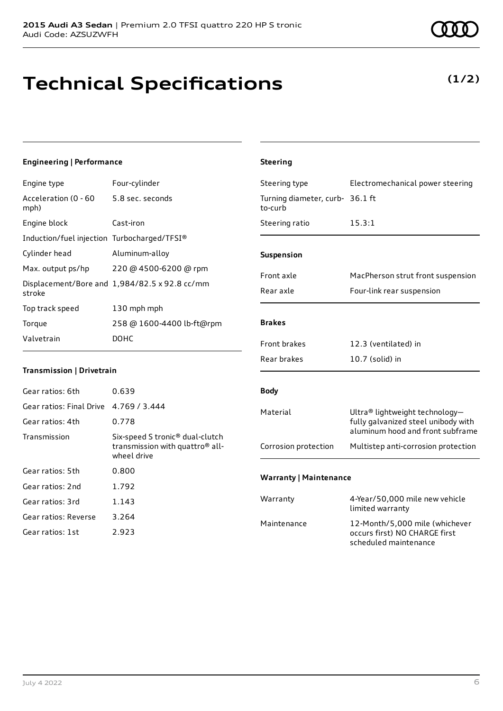# **Technical Specifications**

## **Engineering | Performance**

| Four-cylinder                                 |
|-----------------------------------------------|
| Acceleration (0 - 60<br>5.8 sec. seconds      |
| Cast-iron                                     |
| Induction/fuel injection Turbocharged/TFSI®   |
| Aluminum-alloy                                |
| 220 @ 4500-6200 @ rpm                         |
| Displacement/Bore and 1,984/82.5 x 92.8 cc/mm |
| 130 mph mph                                   |
| 258 @ 1600-4400 lb-ft@rpm                     |
| DOHC                                          |
|                                               |

## **Transmission | Drivetrain**

| Gear ratios: 6th         | 0.639                                                                                                     |
|--------------------------|-----------------------------------------------------------------------------------------------------------|
| Gear ratios: Final Drive | 4.769 / 3.444                                                                                             |
| Gear ratios: 4th         | 0.778                                                                                                     |
| Transmission             | Six-speed S tronic <sup>®</sup> dual-clutch<br>transmission with quattro <sup>®</sup> all-<br>wheel drive |
| Gear ratios: 5th         | 0.800                                                                                                     |
| Gear ratios: 2nd         | 1.792                                                                                                     |
| Gear ratios: 3rd         | 1.143                                                                                                     |
| Gear ratios: Reverse     | 3.264                                                                                                     |
| Gear ratios: 1st         | 2.923                                                                                                     |

| Turning diameter, curb- 36.1 ft<br>to-curb |                                                                                                           |
|--------------------------------------------|-----------------------------------------------------------------------------------------------------------|
| Steering ratio                             | 15.3:1                                                                                                    |
| <b>Suspension</b>                          |                                                                                                           |
| Front axle                                 | MacPherson strut front suspension                                                                         |
| Rear axle                                  | Four-link rear suspension                                                                                 |
| <b>Brakes</b>                              |                                                                                                           |
| Front brakes                               | 12.3 (ventilated) in                                                                                      |
| Rear brakes                                | 10.7 (solid) in                                                                                           |
| <b>Body</b>                                |                                                                                                           |
| Material                                   | Ultra® lightweight technology-<br>fully galvanized steel unibody with<br>aluminum hood and front subframe |
| Corrosion protection                       | Multistep anti-corrosion protection                                                                       |
| <b>Warranty   Maintenance</b>              |                                                                                                           |
| Warranty                                   | 4-Year/50,000 mile new vehicle<br>المطور ومعاويهما والمطالحوا الا                                         |

Steering type Electromechanical power steering

**Steering**

| vvarranty   | 4-Year/50,000 mile new vehicle<br>limited warranty                                       |
|-------------|------------------------------------------------------------------------------------------|
| Maintenance | 12-Month/5.000 mile (whichever<br>occurs first) NO CHARGE first<br>scheduled maintenance |

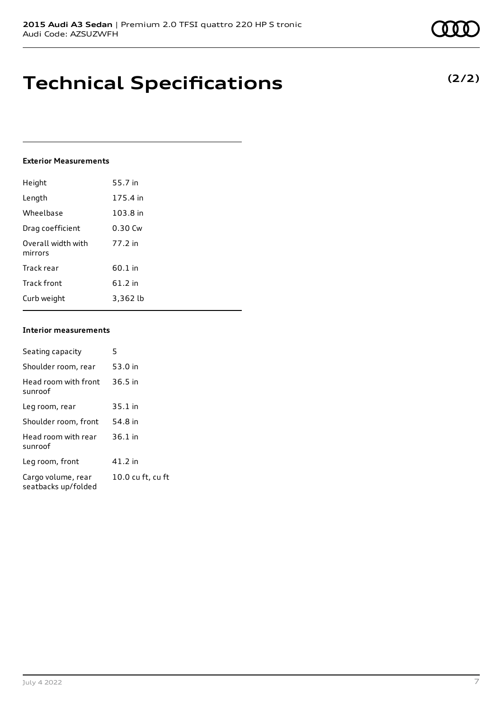## **Technical Specifications**

### **Exterior Measurements**

| Height                        | 55.7 in   |
|-------------------------------|-----------|
| Length                        | 175.4 in  |
| Wheelbase                     | 103.8 in  |
| Drag coefficient              | 0.30 Cw   |
| Overall width with<br>mirrors | 77.2 in   |
| Track rear                    | $60.1$ in |
| Track front                   | 61.2 in   |
| Curb weight                   | 3,362 lb  |

## **Interior measurements**

| Seating capacity                          | 5                 |
|-------------------------------------------|-------------------|
| Shoulder room, rear                       | 53.0 in           |
| Head room with front<br>sunroof           | 36.5 in           |
| Leg room, rear                            | $35.1$ in         |
| Shoulder room, front                      | 54.8 in           |
| Head room with rear<br>sunroof            | $36.1$ in         |
| Leg room, front                           | 41.2 in           |
| Cargo volume, rear<br>seatbacks up/folded | 10.0 cu ft, cu ft |

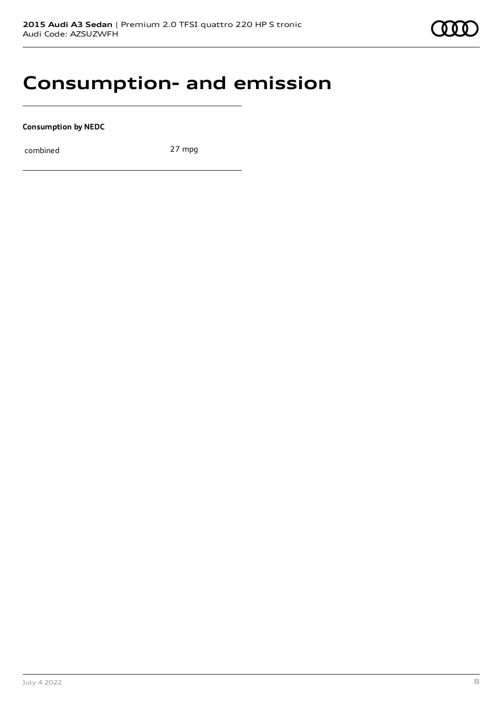## **Consumption- and emission**

**Consumption by NEDC**

combined 27 mpg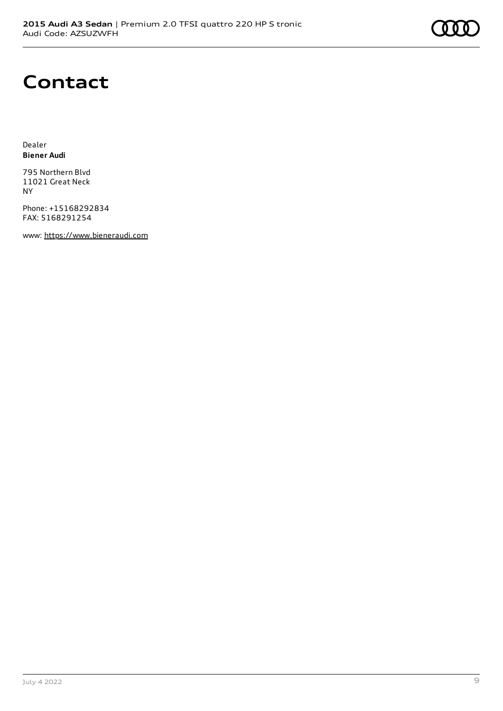

## **Contact**

Dealer **Biener Audi**

795 Northern Blvd 11021 Great Neck NY

Phone: +15168292834 FAX: 5168291254

www: [https://www.bieneraudi.com](https://www.bieneraudi.com/)